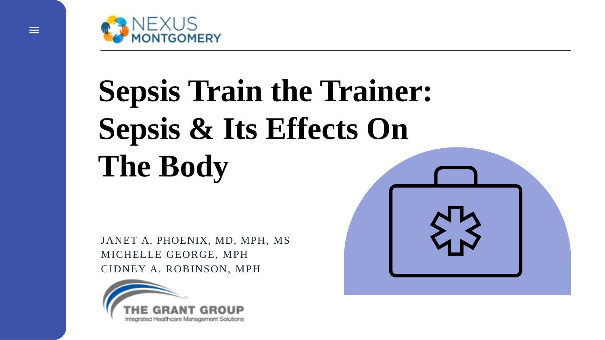

# **Sepsis Train the Trainer: Sepsis & Its Effects On The Body**

JANET A. PHOENIX, MD, MPH, MS MICHELLE GEORGE, MPH CIDNEY A. ROBINSON, MPH



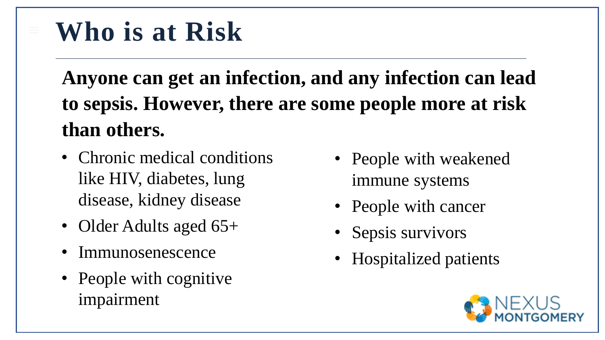**Anyone can get an infection, and any infection can lead to sepsis. However, there are some people more at risk than others.**

- Chronic medical conditions like HIV, diabetes, lung disease, kidney disease
- Older Adults aged 65+
- Immunosenescence
- People with cognitive impairment
- People with weakened immune systems
- People with cancer
- Sepsis survivors
- Hospitalized patients

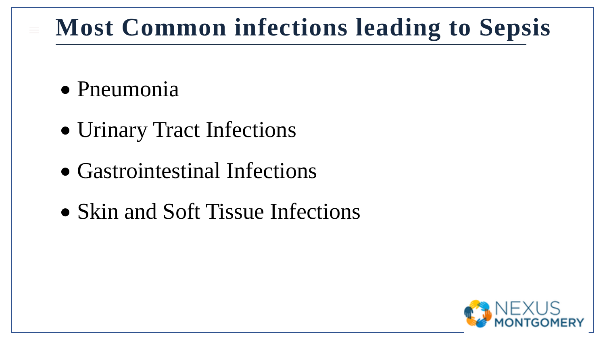### **Most Common infections leading to Sepsis**

- Pneumonia
- Urinary Tract Infections
- Gastrointestinal Infections
- Skin and Soft Tissue Infections

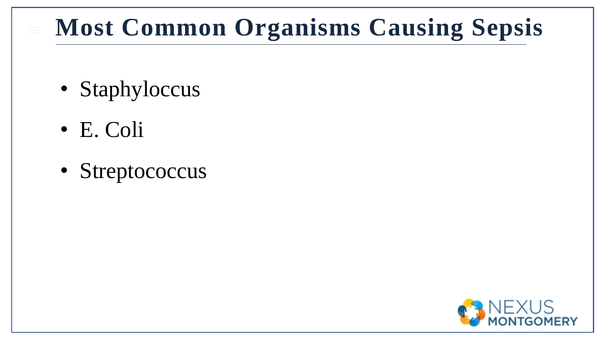#### **Most Common Organisms Causing Sepsis**

- Staphyloccus
- E. Coli
- Streptococcus

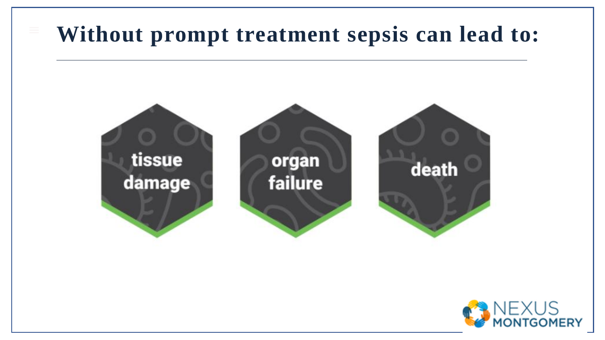#### **Without prompt treatment sepsis can lead to:**



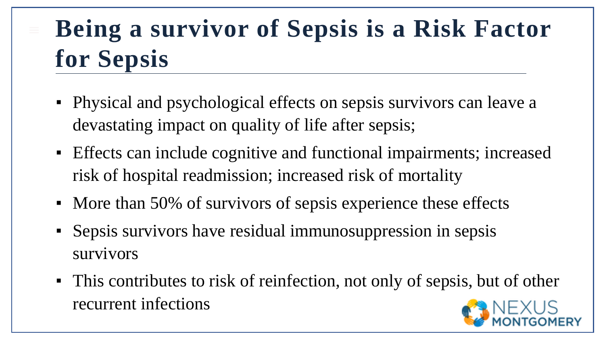## **Being a survivor of Sepsis is a Risk Factor for Sepsis**

- **Physical and psychological effects on sepsis survivors can leave a** devastating impact on quality of life after sepsis;
- **Effects can include cognitive and functional impairments; increased** risk of hospital readmission; increased risk of mortality
- More than 50% of survivors of sepsis experience these effects
- Sepsis survivors have residual immunosuppression in sepsis survivors
- This contributes to risk of reinfection, not only of sepsis, but of other recurrent infections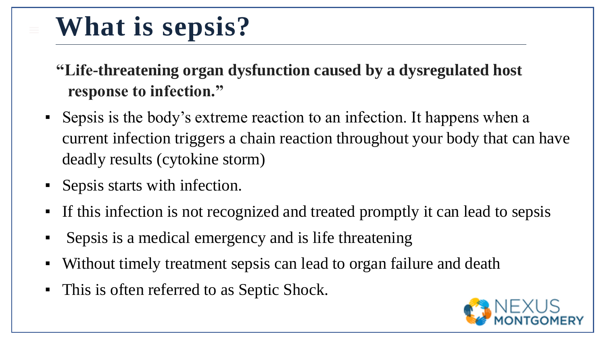# **What is sepsis?**

- **"Life-threatening organ dysfunction caused by a dysregulated host response to infection."**
- Sepsis is the body's extreme reaction to an infection. It happens when a current infection triggers a chain reaction throughout your body that can have deadly results (cytokine storm)
- Sepsis starts with infection.
- If this infection is not recognized and treated promptly it can lead to sepsis
- Sepsis is a medical emergency and is life threatening
- Without timely treatment sepsis can lead to organ failure and death
- **This is often referred to as Septic Shock.**

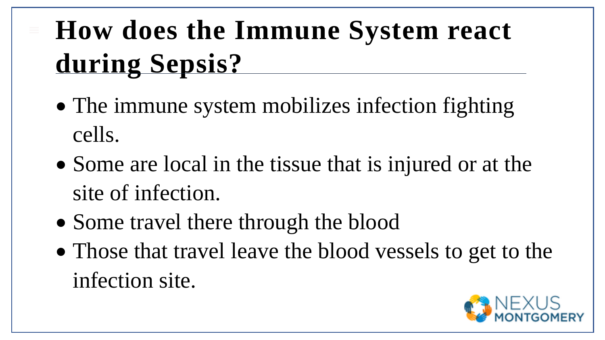# **How does the Immune System react during Sepsis?**

- The immune system mobilizes infection fighting cells.
- Some are local in the tissue that is injured or at the site of infection.
- Some travel there through the blood
- Those that travel leave the blood vessels to get to the infection site.

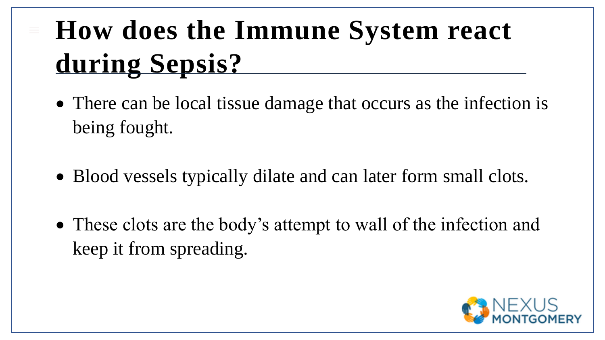# **How does the Immune System react during Sepsis?**

- There can be local tissue damage that occurs as the infection is being fought.
- Blood vessels typically dilate and can later form small clots.
- These clots are the body's attempt to wall of the infection and keep it from spreading.

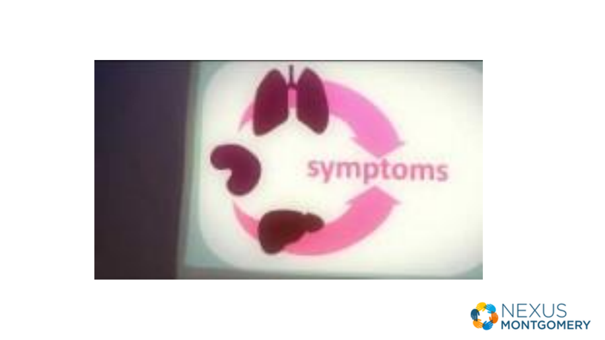

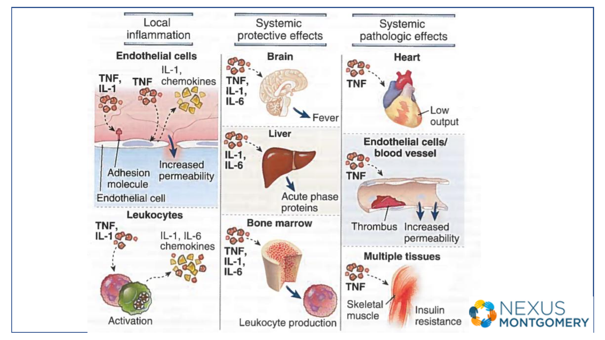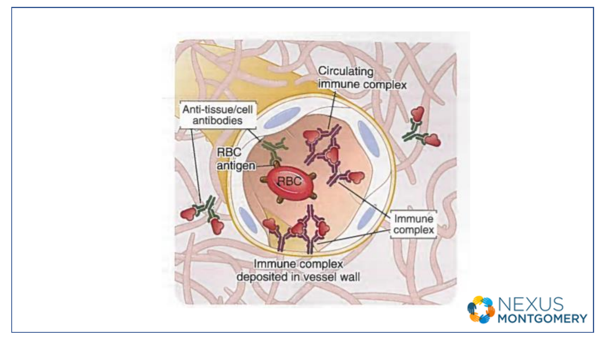